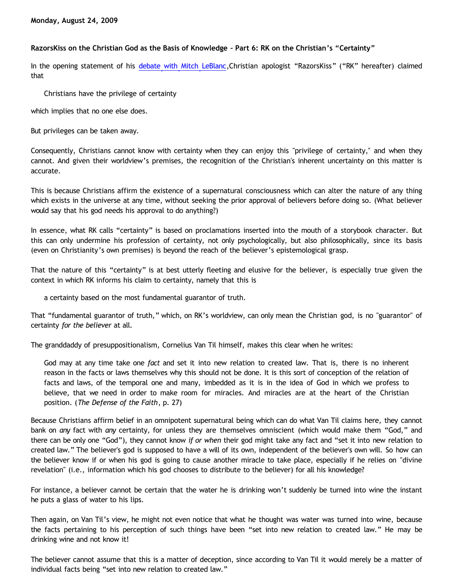## **RazorsKiss on the Christian God as the Basis of Knowledge – Part 6: RK on the Christian's "Certainty"**

In the opening statement of his [debate with Mitch LeBlanc](http://razorskiss.net/wp/2009/08/08/debate-transcript/), Christian apologist "RazorsKiss" ("RK" hereafter) claimed that

Christians have the privilege of certainty

which implies that no one else does.

But privileges can be taken away.

Consequently, Christians cannot know with certainty when they can enjoy this "privilege of certainty," and when they cannot. And given their worldview's premises, the recognition of the Christian's inherent uncertainty on this matter is accurate.

This is because Christians affirm the existence of a supernatural consciousness which can alter the nature of any thing which exists in the universe at any time, without seeking the prior approval of believers before doing so. (What believer would say that his god needs his approval to do anything?)

In essence, what RK calls "certainty" is based on proclamations inserted into the mouth of a storybook character. But this can only undermine his profession of certainty, not only psychologically, but also philosophically, since its basis (even on Christianity's own premises) is beyond the reach of the believer's epistemological grasp.

That the nature of this "certainty" is at best utterly fleeting and elusive for the believer, is especially true given the context in which RK informs his claim to certainty, namely that this is

a certainty based on the most fundamental guarantor of truth.

That "fundamental guarantor of truth," which, on RK's worldview, can only mean the Christian god, is no "guarantor" of certainty *for the believer* at all.

The granddaddy of presuppositionalism, Cornelius Van Til himself, makes this clear when he writes:

God may at any time take one *fact* and set it into new relation to created law. That is, there is no inherent reason in the facts or laws themselves why this should not be done. It is this sort of conception of the relation of facts and laws, of the temporal one and many, imbedded as it is in the idea of God in which we profess to believe, that we need in order to make room for miracles. And miracles are at the heart of the Christian position. (*The Defense of the Faith*, p. 27)

Because Christians affirm belief in an omnipotent supernatural being which can do what Van Til claims here, they cannot bank on *any* fact with *any* certainty, for unless they are themselves omniscient (which would make them "God," and there can be only one "God"), they cannot know *if or when* their god might take any fact and "set it into new relation to created law." The believer's god is supposed to have a will of its own, independent of the believer's own will. So how can the believer know if or when his god is going to cause another miracle to take place, especially if he relies on "divine revelation" (i.e., information which his god chooses to distribute to the believer) for all his knowledge?

For instance, a believer cannot be certain that the water he is drinking won't suddenly be turned into wine the instant he puts a glass of water to his lips.

Then again, on Van Til's view, he might not even notice that what he thought was water was turned into wine, because the facts pertaining to his perception of such things have been "set into new relation to created law." He may be drinking wine and not know it!

The believer cannot assume that this is a matter of deception, since according to Van Til it would merely be a matter of individual facts being "set into new relation to created law."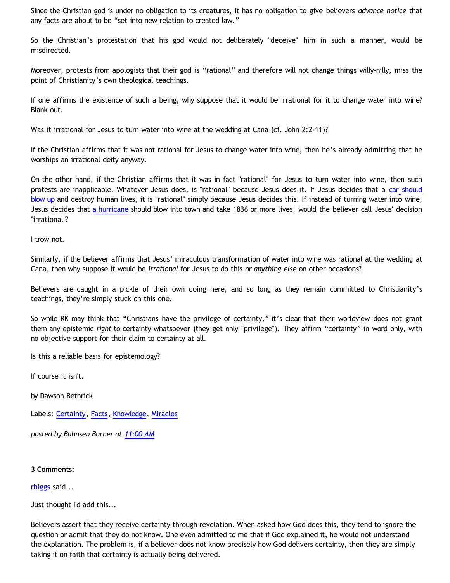Since the Christian god is under no obligation to its creatures, it has no obligation to give believers *advance notice* that any facts are about to be "set into new relation to created law."

So the Christian's protestation that his god would not deliberately "deceive" him in such a manner, would be misdirected.

Moreover, protests from apologists that their god is "rational" and therefore will not change things willy-nilly, miss the point of Christianity's own theological teachings.

If one affirms the existence of such a being, why suppose that it would be irrational for it to change water into wine? Blank out.

Was it irrational for Jesus to turn water into wine at the wedding at Cana (cf. John 2:2-11)?

If the Christian affirms that it was not rational for Jesus to change water into wine, then he's already admitting that he worships an irrational deity anyway.

On the other hand, if the Christian affirms that it was in fact "rational" for Jesus to turn water into wine, then such protests are inapplicable. Whatever Jesus does, is "rational" because Jesus does it. If Jesus decides that a [car should](http://www.youtube.com/watch?v=PI9bpOWuULQ) [blow up](http://www.youtube.com/watch?v=PI9bpOWuULQ) and destroy human lives, it is "rational" simply because Jesus decides this. If instead of turning water into wine, Jesus decides that [a hurricane](http://en.wikipedia.org/wiki/Hurricane_Katrina) should blow into town and take 1836 or more lives, would the believer call Jesus' decision "irrational"?

I trow not.

Similarly, if the believer affirms that Jesus' miraculous transformation of water into wine was rational at the wedding at Cana, then why suppose it would be *irrational* for Jesus to do this *or anything else* on other occasions?

Believers are caught in a pickle of their own doing here, and so long as they remain committed to Christianity's teachings, they're simply stuck on this one.

So while RK may think that "Christians have the privilege of certainty," it's clear that their worldview does not grant them any epistemic *right* to certainty whatsoever (they get only "privilege"). They affirm "certainty" in word only, with no objective support for their claim to certainty at all.

Is this a reliable basis for epistemology?

If course it isn't.

by Dawson Bethrick

Labels: [Certainty](http://bahnsenburner.blogspot.com/search/label/Certainty), [Facts](http://bahnsenburner.blogspot.com/search/label/Facts), [Knowledge,](http://bahnsenburner.blogspot.com/search/label/Knowledge) [Miracles](http://bahnsenburner.blogspot.com/search/label/Miracles)

*posted by Bahnsen Burner at [11:00 AM](http://bahnsenburner.blogspot.com/2009/08/razorskiss-on-christian-god-as-basis-of_24.html)*

## **3 Comments:**

[rhiggs](http://www.blogger.com/profile/16246371823456833408) said...

Just thought I'd add this...

Believers assert that they receive certainty through revelation. When asked how God does this, they tend to ignore the question or admit that they do not know. One even admitted to me that if God explained it, he would not understand the explanation. The problem is, if a believer does not know precisely how God delivers certainty, then they are simply taking it on faith that certainty is actually being delivered.